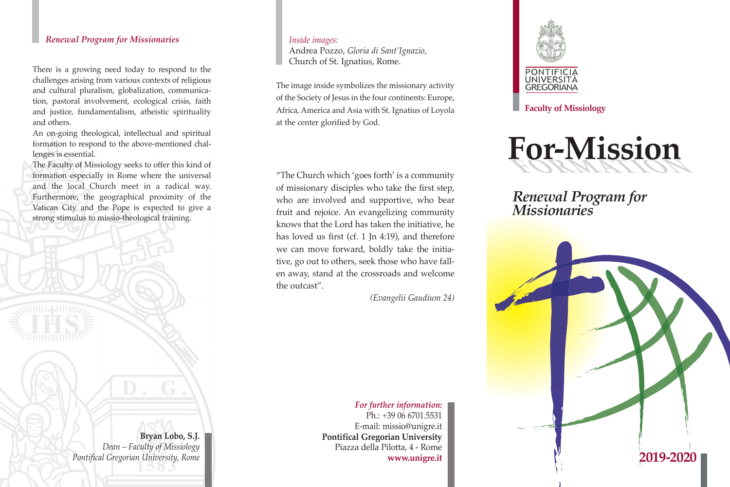#### *Renewal Program for Missionaries*

There is a growing need today to respond to the challenges arising from various contexts of religious and cultural pluralism, globalization, communication, pastoral involvement, ecological crisis, faith and justice, fundamentalism, atheistic spirituality and others.

An on-going theological, intellectual and spiritual formation to respond to the above-mentioned challenges is essential.

The Faculty of Missiology seeks to offer this kind of formation especially in Rome where the universal and the local Church meet in a radical way. Furthermore, the geographical proximity of the Vatican City and the Pope is expected to give a strong stimulus to missio-theological training.



#### *Inside images:*

Andrea Pozzo, *Gloria di Sant'Ignazio,* Church of St. Ignatius, Rome.

The image inside symbolizes the missionary activity of the Society of Jesus in the four continents: Europe, Africa, America and Asia with St. Ignatius of Loyola at the center glorified by God.

"The Church which 'goes forth' is a community of missionary disciples who take the first step, who are involved and supportive, who bear fruit and rejoice. An evangelizing community knows that the Lord has taken the initiative, he has loved us first (cf. 1 In 4:19), and therefore we can move forward, boldly take the initiative, go out to others, seek those who have fallen away, stand at the crossroads and welcome the outcast".

*(Evangelii Gaudium 24)*

#### *For further information:*

Ph.: +39 06 6701.5531 E-mail: missio@unigre.it **Pontifical Gregorian University** Piazza della Pilotta, 4 - Rome **www.unigre.it**



**Faculty of Missiology**



# *Renewal Program for Missionaries*